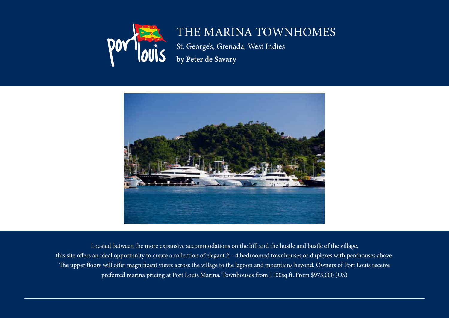

## The Marina Townhomes

St. George's, Grenada, West Indies **by Peter de Savary**



Located between the more expansive accommodations on the hill and the hustle and bustle of the village, this site offers an ideal opportunity to create a collection of elegant  $2 - 4$  bedroomed townhouses or duplexes with penthouses above. The upper floors will offer magnificent views across the village to the lagoon and mountains beyond. Owners of Port Louis receive preferred marina pricing at Port Louis Marina. Townhouses from 1100sq.ft. From \$975,000 (US)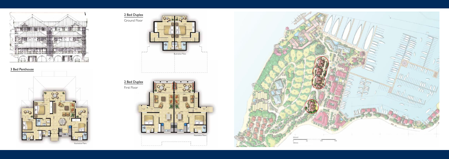2 Bed Duplex Ground Floor  $\overline{\phantom{a}}$ l  $\overline{\phantom{a}}$ Cabana Illustrative Plans N 2 Bed Duplex First Floor  $\overline{\phantom{0}}$ **Sold** SOLD SOLD SOLD SOLD SOLD SOLD **Illustrative Plans** 



## 3 Bed Penthouse





**Draf**

**t**